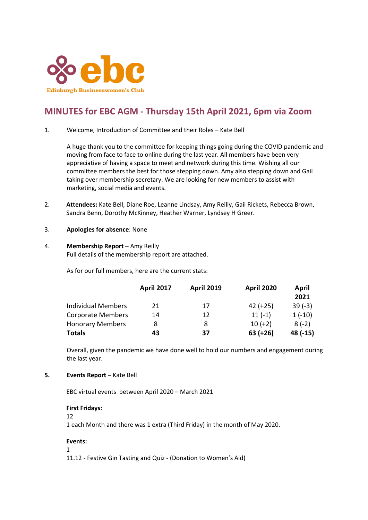

# **MINUTES for EBC AGM - Thursday 15th April 2021, 6pm via Zoom**

1. Welcome, Introduction of Committee and their Roles – Kate Bell

A huge thank you to the committee for keeping things going during the COVID pandemic and moving from face to face to online during the last year. All members have been very appreciative of having a space to meet and network during this time. Wishing all our committee members the best for those stepping down. Amy also stepping down and Gail taking over membership secretary. We are looking for new members to assist with marketing, social media and events.

- 2. **Attendees:** Kate Bell, Diane Roe, Leanne Lindsay, Amy Reilly, Gail Rickets, Rebecca Brown, Sandra Benn, Dorothy McKinney, Heather Warner, Lyndsey H Greer.
- 3. **Apologies for absence**: None
- 4. **Membership Report** Amy Reilly Full details of the membership report are attached.

As for our full members, here are the current stats:

|                           | <b>April 2017</b> | <b>April 2019</b> | <b>April 2020</b> | April    |
|---------------------------|-------------------|-------------------|-------------------|----------|
|                           |                   |                   |                   | 2021     |
| <b>Individual Members</b> | 21                | 17                | $42 (+25)$        | $39(-3)$ |
| <b>Corporate Members</b>  | 14                | 12                | $11(-1)$          | $1(-10)$ |
| <b>Honorary Members</b>   | 8                 | 8                 | $10 (+2)$         | $8(-2)$  |
| <b>Totals</b>             | 43                | 37                | $63 (+26)$        | 48 (-15) |

Overall, given the pandemic we have done well to hold our numbers and engagement during the last year.

**5. Events Report** – Kate Bell

EBC virtual events between April 2020 – March 2021

#### **First Fridays:**

12

1 each Month and there was 1 extra (Third Friday) in the month of May 2020.

#### **Events:**

1

11.12 - Festive Gin Tasting and Quiz - (Donation to Women's Aid)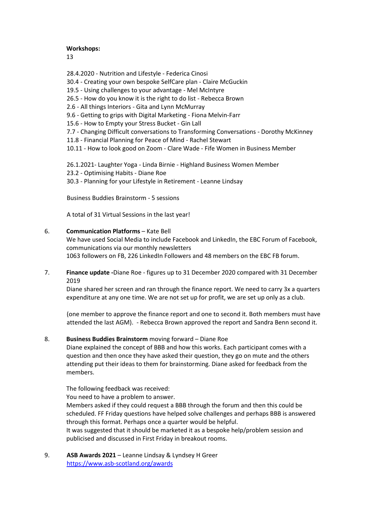#### **Workshops:**

13

- 28.4.2020 Nutrition and Lifestyle Federica Cinosi
- 30.4 Creating your own bespoke SelfCare plan Claire McGuckin
- 19.5 Using challenges to your advantage Mel McIntyre
- 26.5 How do you know it is the right to do list Rebecca Brown
- 2.6 All things Interiors Gita and Lynn McMurray
- 9.6 Getting to grips with Digital Marketing Fiona Melvin-Farr
- 15.6 How to Empty your Stress Bucket Gin Lall
- 7.7 Changing Difficult conversations to Transforming Conversations Dorothy McKinney
- 11.8 Financial Planning for Peace of Mind Rachel Stewart
- 10.11 How to look good on Zoom Clare Wade Fife Women in Business Member

26.1.2021- Laughter Yoga - Linda Birnie - Highland Business Women Member

23.2 - Optimising Habits - Diane Roe

30.3 - Planning for your Lifestyle in Retirement - Leanne Lindsay

Business Buddies Brainstorm - 5 sessions

A total of 31 Virtual Sessions in the last year!

#### 6. **Communication Platforms** – Kate Bell

We have used Social Media to include Facebook and LinkedIn, the EBC Forum of Facebook, communications via our monthly newsletters 1063 followers on FB, 226 LinkedIn Followers and 48 members on the EBC FB forum.

7. **Finance update -**Diane Roe - figures up to 31 December 2020 compared with 31 December 2019

Diane shared her screen and ran through the finance report. We need to carry 3x a quarters expenditure at any one time. We are not set up for profit, we are set up only as a club.

(one member to approve the finance report and one to second it. Both members must have attended the last AGM). - Rebecca Brown approved the report and Sandra Benn second it.

## 8. **Business Buddies Brainstorm** moving forward – Diane Roe

Diane explained the concept of BBB and how this works. Each participant comes with a question and then once they have asked their question, they go on mute and the others attending put their ideas to them for brainstorming. Diane asked for feedback from the members.

The following feedback was received:

You need to have a problem to answer.

Members asked if they could request a BBB through the forum and then this could be scheduled. FF Friday questions have helped solve challenges and perhaps BBB is answered through this format. Perhaps once a quarter would be helpful.

It was suggested that it should be marketed it as a bespoke help/problem session and publicised and discussed in First Friday in breakout rooms.

9. **ASB Awards 2021** – Leanne Lindsay & Lyndsey H Greer <https://www.asb-scotland.org/awards>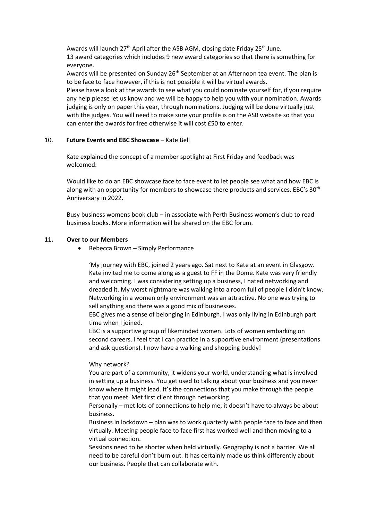Awards will launch 27<sup>th</sup> April after the ASB AGM, closing date Friday 25<sup>th</sup> June. 13 award categories which includes 9 new award categories so that there is something for everyone.

Awards will be presented on Sunday 26<sup>th</sup> September at an Afternoon tea event. The plan is to be face to face however, if this is not possible it will be virtual awards.

Please have a look at the awards to see what you could nominate yourself for, if you require any help please let us know and we will be happy to help you with your nomination. Awards judging is only on paper this year, through nominations. Judging will be done virtually just with the judges. You will need to make sure your profile is on the ASB website so that you can enter the awards for free otherwise it will cost £50 to enter.

## 10. **Future Events and EBC Showcase** – Kate Bell

Kate explained the concept of a member spotlight at First Friday and feedback was welcomed.

Would like to do an EBC showcase face to face event to let people see what and how EBC is along with an opportunity for members to showcase there products and services. EBC's 30<sup>th</sup> Anniversary in 2022.

Busy business womens book club – in associate with Perth Business women's club to read business books. More information will be shared on the EBC forum.

## **11. Over to our Members**

• Rebecca Brown – Simply Performance

'My journey with EBC, joined 2 years ago. Sat next to Kate at an event in Glasgow. Kate invited me to come along as a guest to FF in the Dome. Kate was very friendly and welcoming. I was considering setting up a business, I hated networking and dreaded it. My worst nightmare was walking into a room full of people I didn't know. Networking in a women only environment was an attractive. No one was trying to sell anything and there was a good mix of businesses.

EBC gives me a sense of belonging in Edinburgh. I was only living in Edinburgh part time when I joined.

EBC is a supportive group of likeminded women. Lots of women embarking on second careers. I feel that I can practice in a supportive environment (presentations and ask questions). I now have a walking and shopping buddy!

#### Why network?

You are part of a community, it widens your world, understanding what is involved in setting up a business. You get used to talking about your business and you never know where it might lead. It's the connections that you make through the people that you meet. Met first client through networking.

Personally – met lots of connections to help me, it doesn't have to always be about business.

Business in lockdown – plan was to work quarterly with people face to face and then virtually. Meeting people face to face first has worked well and then moving to a virtual connection.

Sessions need to be shorter when held virtually. Geography is not a barrier. We all need to be careful don't burn out. It has certainly made us think differently about our business. People that can collaborate with.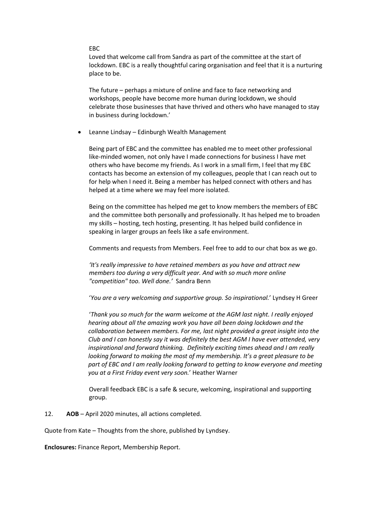#### EBC

Loved that welcome call from Sandra as part of the committee at the start of lockdown. EBC is a really thoughtful caring organisation and feel that it is a nurturing place to be.

The future – perhaps a mixture of online and face to face networking and workshops, people have become more human during lockdown, we should celebrate those businesses that have thrived and others who have managed to stay in business during lockdown.'

• Leanne Lindsay – Edinburgh Wealth Management

Being part of EBC and the committee has enabled me to meet other professional like-minded women, not only have I made connections for business I have met others who have become my friends. As I work in a small firm, I feel that my EBC contacts has become an extension of my colleagues, people that I can reach out to for help when I need it. Being a member has helped connect with others and has helped at a time where we may feel more isolated.

Being on the committee has helped me get to know members the members of EBC and the committee both personally and professionally. It has helped me to broaden my skills – hosting, tech hosting, presenting. It has helped build confidence in speaking in larger groups an feels like a safe environment.

Comments and requests from Members. Feel free to add to our chat box as we go.

*'It's really impressive to have retained members as you have and attract new members too during a very difficult year. And with so much more online "competition" too. Well done.'* Sandra Benn

'*You are a very welcoming and supportive group. So inspirational.*' Lyndsey H Greer

'*Thank you so much for the warm welcome at the AGM last night. I really enjoyed hearing about all the amazing work you have all been doing lockdown and the collaboration between members. For me, last night provided a great insight into the Club and I can honestly say it was definitely the best AGM I have ever attended, very inspirational and forward thinking. Definitely exciting times ahead and I am really looking forward to making the most of my membership. It's a great pleasure to be part of EBC and I am really looking forward to getting to know everyone and meeting you at a First Friday event very soon.*' Heather Warner

Overall feedback EBC is a safe & secure, welcoming, inspirational and supporting group.

12. **AOB** – April 2020 minutes, all actions completed.

Quote from Kate – Thoughts from the shore, published by Lyndsey.

**Enclosures:** Finance Report, Membership Report.